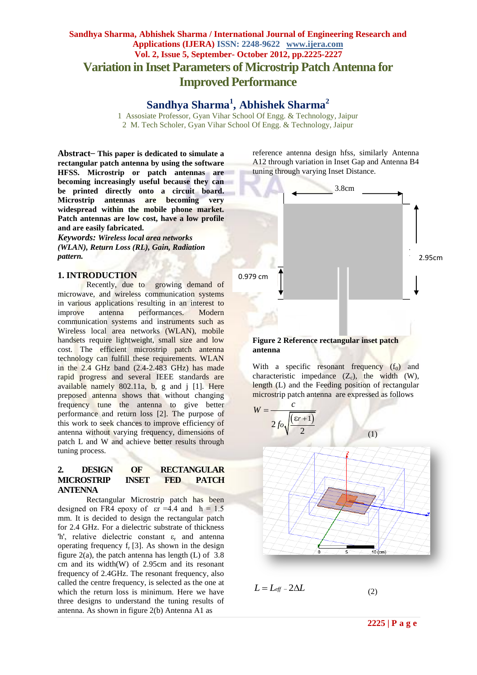## **Sandhya Sharma, Abhishek Sharma / International Journal of Engineering Research and Applications (IJERA) ISSN: 2248-9622 www.ijera.com Vol. 2, Issue 5, September- October 2012, pp.2225-2227 Variation in Inset Parameters of Microstrip Patch Antenna for Improved Performance**

**Sandhya Sharma<sup>1</sup> , Abhishek Sharma<sup>2</sup>**

1 Assosiate Professor, Gyan Vihar School Of Engg. & Technology, Jaipur 2 M. Tech Scholer, Gyan Vihar School Of Engg. & Technology, Jaipur

**Abstract**⎯ **This paper is dedicated to simulate a rectangular patch antenna by using the software HFSS. Microstrip or patch antennas are becoming increasingly useful because they can be printed directly onto a circuit board. Microstrip antennas are becoming very widespread within the mobile phone market. Patch antennas are low cost, have a low profile and are easily fabricated.** 

*Keywords: Wireless local area networks (WLAN), Return Loss (RL), Gain, Radiation pattern.*

#### **1. INTRODUCTION**

Recently, due to growing demand of microwave, and wireless communication systems in various applications resulting in an interest to improve antenna performances. Modern communication systems and instruments such as Wireless local area networks (WLAN), mobile handsets require lightweight, small size and low cost. The efficient microstrip patch antenna technology can fulfill these requirements. WLAN in the 2.4 GHz band (2.4-2.483 GHz) has made rapid progress and several IEEE standards are available namely 802.11a, b, g and j [1]. Here preposed antenna shows that without changing frequency tune the antenna to give better performance and return loss [2]. The purpose of this work to seek chances to improve efficiency of antenna without varying frequency, dimensions of patch L and W and achieve better results through tuning process.

#### **2. DESIGN OF RECTANGULAR MICROSTRIP INSET FED PATCH ANTENNA**

Rectangular Microstrip patch has been designed on FR4 epoxy of  $\text{er} = 4.4$  and  $\text{h} = 1.5$ mm. It is decided to design the rectangular patch for 2.4 GHz. For a dielectric substrate of thickness 'h', relative dielectric constant  $\varepsilon_r$  and antenna operating frequency  $f_r$  [3]. As shown in the design figure  $2(a)$ , the patch antenna has length (L) of 3.8 cm and its width(W) of 2.95cm and its resonant frequency of 2.4GHz. The resonant frequency, also called the centre frequency, is selected as the one at which the return loss is minimum. Here we have three designs to understand the tuning results of antenna. As shown in figure 2(b) Antenna A1 as

reference antenna design hfss, similarly Antenna A12 through variation in Inset Gap and Antenna B4 tuning through varying Inset Distance.



With a specific resonant frequency  $(f_0)$  and characteristic impedance  $(Z_c)$ , the width  $(W)$ , length (L) and the Feeding position of rectangular microstrip patch antenna are expressed as follows



 $L = L_{\text{eff}} - 2\Delta L$ 

(2)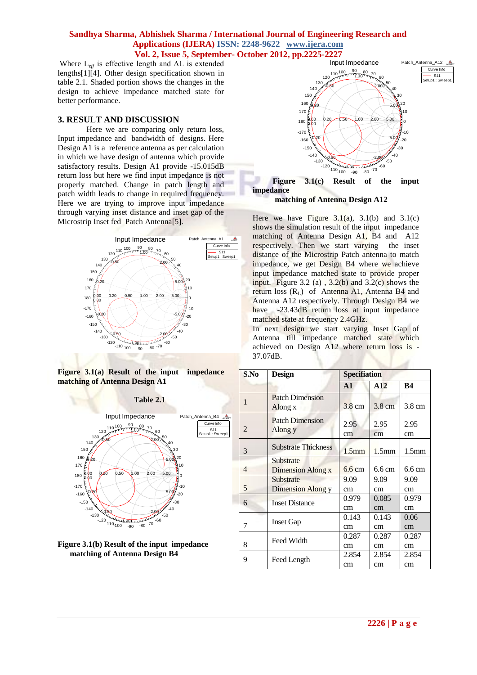### **Sandhya Sharma, Abhishek Sharma / International Journal of Engineering Research and Applications (IJERA) ISSN: 2248-9622 www.ijera.com Vol. 2, Issue 5, September- October 2012, pp.2225-2227**

Where L*eff* is effective length and ∆L is extended lengths[1][4]. Other design specification shown in table 2.1. Shaded portion shows the changes in the design to achieve impedance matched state for better performance.

### **3. RESULT AND DISCUSSION**

Here we are comparing only return loss, Input impedance and bandwidth of designs. Here Design A1 is a reference antenna as per calculation in which we have design of antenna which provide satisfactory results. Design A1 provide -15.015dB return loss but here we find input impedance is not properly matched. Change in patch length and patch width leads to change in required frequency. Here we are trying to improve input impedance through varying inset distance and inset gap of the Microstrip Inset fed Patch Antenna[5].



**Figure 3.1(a) Result of the input impedance matching of Antenna Design A1**

**Table 2.1**







 **matching of Antenna Design A12**

**impedance** 

Here we have Figure  $3.1(a)$ ,  $3.1(b)$  and  $3.1(c)$ shows the simulation result of the input impedance matching of Antenna Design A1, B4 and A12 respectively. Then we start varying the inset distance of the Microstrip Patch antenna to match impedance, we get Design B4 where we achieve input impedance matched state to provide proper input. Figure 3.2 (a),  $3.2(b)$  and  $3.2(c)$  shows the return loss  $(R_L)$  of Antenna A1, Antenna B4 and Antenna A12 respectively. Through Design B4 we have -23.43dB return loss at input impedance matched state at frequency 2.4GHz.

In next design we start varying Inset Gap of Antenna till impedance matched state which achieved on Design A12 where return loss is - 37.07dB.

| S.No           | <b>Design</b>                         | <b>Specifiation</b> |                   |                   |
|----------------|---------------------------------------|---------------------|-------------------|-------------------|
|                |                                       | $\mathbf{A}$ 1      | A12               | <b>B4</b>         |
| $\mathbf{1}$   | <b>Patch Dimension</b><br>Along x     | 3.8 cm              | $3.8 \text{ cm}$  | 3.8 cm            |
| $\overline{2}$ | <b>Patch Dimension</b><br>Along y     | 2.95<br>cm          | 2.95<br>cm        | 2.95<br>cm        |
| 3              | <b>Substrate Thickness</b>            | 1.5 <sub>mm</sub>   | 1.5 <sub>mm</sub> | 1.5 <sub>mm</sub> |
| $\overline{4}$ | Substrate<br>Dimension Along x        | $6.6 \text{ cm}$    | $6.6 \text{ cm}$  | $6.6 \text{ cm}$  |
| 5              | Substrate<br><b>Dimension Along y</b> | 9.09<br>cm          | 9.09<br>cm        | 9.09<br>cm        |
| 6              | <b>Inset Distance</b>                 | 0.979<br>cm         | 0.085<br>cm       | 0.979<br>cm       |
| 7              | <b>Inset Gap</b>                      | 0.143<br>cm         | 0.143<br>cm       | 0.06<br>cm        |
| 8              | Feed Width                            | 0.287<br>cm         | 0.287<br>cm       | 0.287<br>cm       |
| 9              | Feed Length                           | 2.854<br>cm         | 2.854<br>cm       | 2.854<br>cm       |